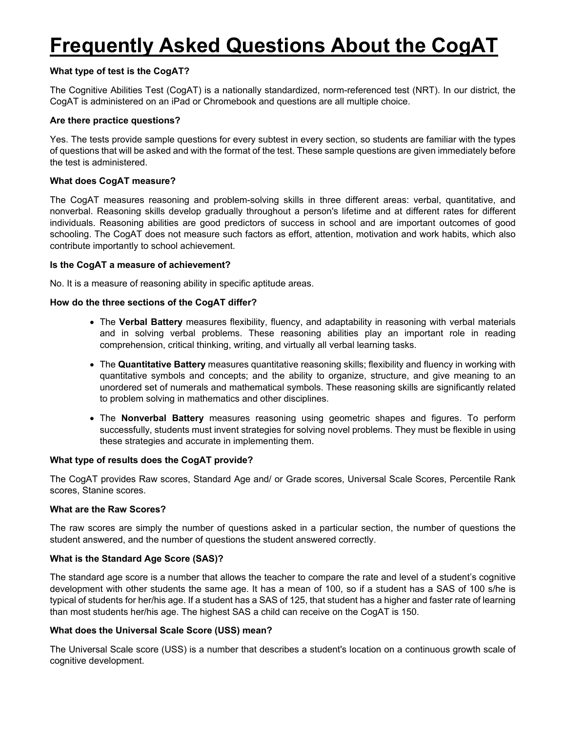# **Frequently Asked Questions About the CogAT**

# **What type of test is the CogAT?**

The Cognitive Abilities Test (CogAT) is a nationally standardized, norm-referenced test (NRT). In our district, the CogAT is administered on an iPad or Chromebook and questions are all multiple choice.

## **Are there practice questions?**

Yes. The tests provide sample questions for every subtest in every section, so students are familiar with the types of questions that will be asked and with the format of the test. These sample questions are given immediately before the test is administered.

## **What does CogAT measure?**

The CogAT measures reasoning and problem-solving skills in three different areas: verbal, quantitative, and nonverbal. Reasoning skills develop gradually throughout a person's lifetime and at different rates for different individuals. Reasoning abilities are good predictors of success in school and are important outcomes of good schooling. The CogAT does not measure such factors as effort, attention, motivation and work habits, which also contribute importantly to school achievement.

## **Is the CogAT a measure of achievement?**

No. It is a measure of reasoning ability in specific aptitude areas.

## **How do the three sections of the CogAT differ?**

- The **Verbal Battery** measures flexibility, fluency, and adaptability in reasoning with verbal materials and in solving verbal problems. These reasoning abilities play an important role in reading comprehension, critical thinking, writing, and virtually all verbal learning tasks.
- The **Quantitative Battery** measures quantitative reasoning skills; flexibility and fluency in working with quantitative symbols and concepts; and the ability to organize, structure, and give meaning to an unordered set of numerals and mathematical symbols. These reasoning skills are significantly related to problem solving in mathematics and other disciplines.
- The **Nonverbal Battery** measures reasoning using geometric shapes and figures. To perform successfully, students must invent strategies for solving novel problems. They must be flexible in using these strategies and accurate in implementing them.

#### **What type of results does the CogAT provide?**

The CogAT provides Raw scores, Standard Age and/ or Grade scores, Universal Scale Scores, Percentile Rank scores, Stanine scores.

#### **What are the Raw Scores?**

The raw scores are simply the number of questions asked in a particular section, the number of questions the student answered, and the number of questions the student answered correctly.

#### **What is the Standard Age Score (SAS)?**

The standard age score is a number that allows the teacher to compare the rate and level of a student's cognitive development with other students the same age. It has a mean of 100, so if a student has a SAS of 100 s/he is typical of students for her/his age. If a student has a SAS of 125, that student has a higher and faster rate of learning than most students her/his age. The highest SAS a child can receive on the CogAT is 150.

## **What does the Universal Scale Score (USS) mean?**

The Universal Scale score (USS) is a number that describes a student's location on a continuous growth scale of cognitive development.